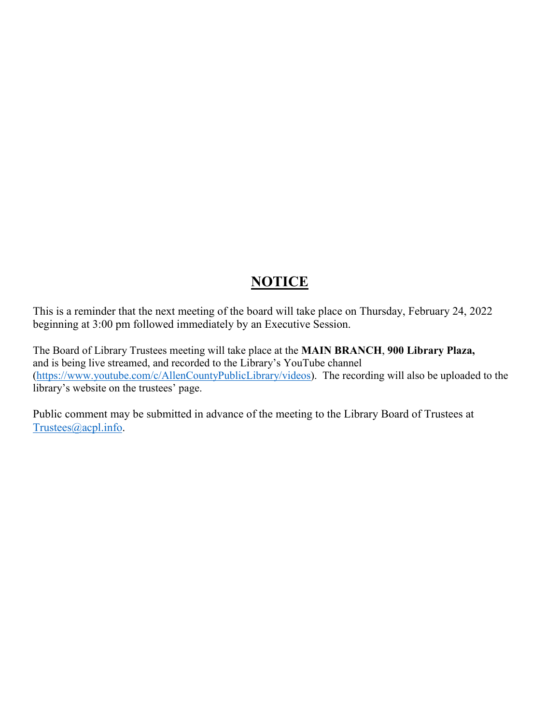## **NOTICE**

This is a reminder that the next meeting of the board will take place on Thursday, February 24, 2022 beginning at 3:00 pm followed immediately by an Executive Session.

The Board of Library Trustees meeting will take place at the **MAIN BRANCH**, **900 Library Plaza,** and is being live streamed, and recorded to the Library's YouTube channel [\(https://www.youtube.com/c/AllenCountyPublicLibrary/videos\)](https://www.youtube.com/c/AllenCountyPublicLibrary/videos). The recording will also be uploaded to the library's website on the trustees' page.

Public comment may be submitted in advance of the meeting to the Library Board of Trustees at [Trustees@acpl.info.](mailto:Trustees@acpl.info)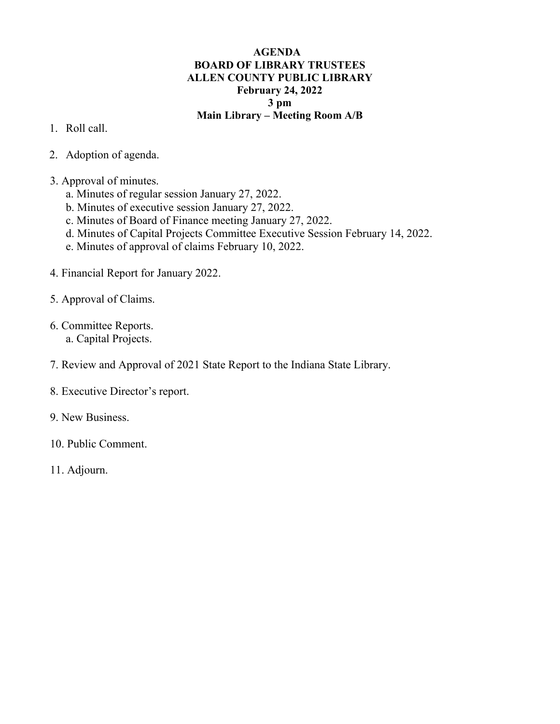## **AGENDA BOARD OF LIBRARY TRUSTEES ALLEN COUNTY PUBLIC LIBRARY February 24, 2022 3 pm Main Library – Meeting Room A/B**

- 1. Roll call.
- 2. Adoption of agenda.
- 3. Approval of minutes.
	- a. Minutes of regular session January 27, 2022.
	- b. Minutes of executive session January 27, 2022.
	- c. Minutes of Board of Finance meeting January 27, 2022.
	- d. Minutes of Capital Projects Committee Executive Session February 14, 2022.
	- e. Minutes of approval of claims February 10, 2022.
- 4. Financial Report for January 2022.
- 5. Approval of Claims.
- 6. Committee Reports.
	- a. Capital Projects.
- 7. Review and Approval of 2021 State Report to the Indiana State Library.
- 8. Executive Director's report.
- 9. New Business.
- 10. Public Comment.
- 11. Adjourn.